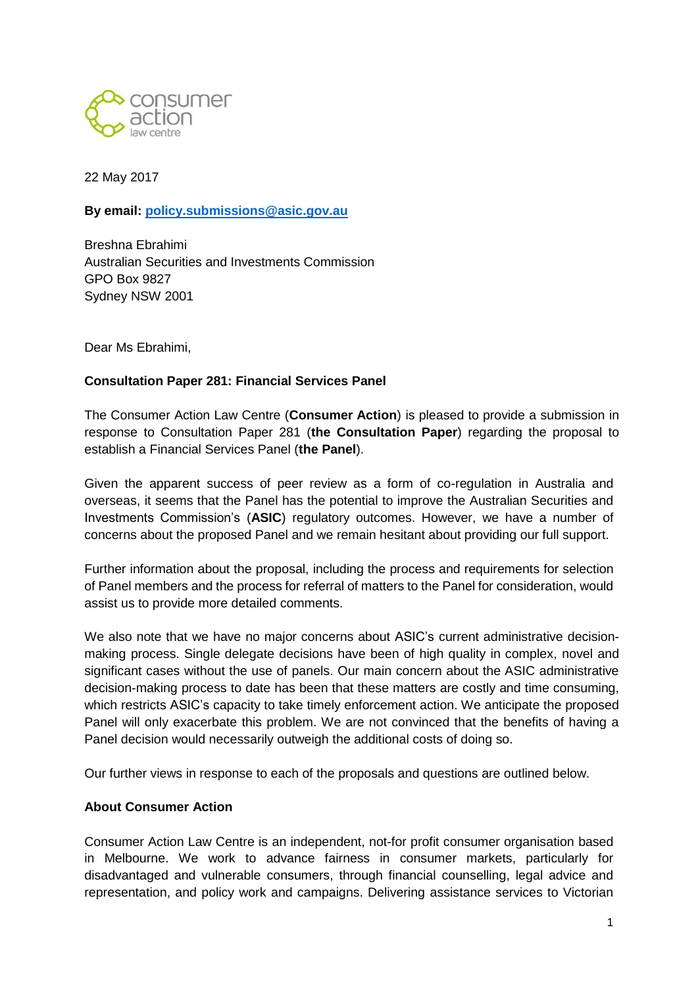

22 May 2017

**By email: [policy.submissions@asic.gov.au](mailto:policy.submissions@asic.gov.au)**

Breshna Ebrahimi Australian Securities and Investments Commission GPO Box 9827 Sydney NSW 2001

Dear Ms Ebrahimi,

#### **Consultation Paper 281: Financial Services Panel**

The Consumer Action Law Centre (**Consumer Action**) is pleased to provide a submission in response to Consultation Paper 281 (**the Consultation Paper**) regarding the proposal to establish a Financial Services Panel (**the Panel**).

Given the apparent success of peer review as a form of co-regulation in Australia and overseas, it seems that the Panel has the potential to improve the Australian Securities and Investments Commission's (**ASIC**) regulatory outcomes. However, we have a number of concerns about the proposed Panel and we remain hesitant about providing our full support.

Further information about the proposal, including the process and requirements for selection of Panel members and the process for referral of matters to the Panel for consideration, would assist us to provide more detailed comments.

We also note that we have no major concerns about ASIC's current administrative decisionmaking process. Single delegate decisions have been of high quality in complex, novel and significant cases without the use of panels. Our main concern about the ASIC administrative decision-making process to date has been that these matters are costly and time consuming, which restricts ASIC's capacity to take timely enforcement action. We anticipate the proposed Panel will only exacerbate this problem. We are not convinced that the benefits of having a Panel decision would necessarily outweigh the additional costs of doing so.

Our further views in response to each of the proposals and questions are outlined below.

#### **About Consumer Action**

Consumer Action Law Centre is an independent, not-for profit consumer organisation based in Melbourne. We work to advance fairness in consumer markets, particularly for disadvantaged and vulnerable consumers, through financial counselling, legal advice and representation, and policy work and campaigns. Delivering assistance services to Victorian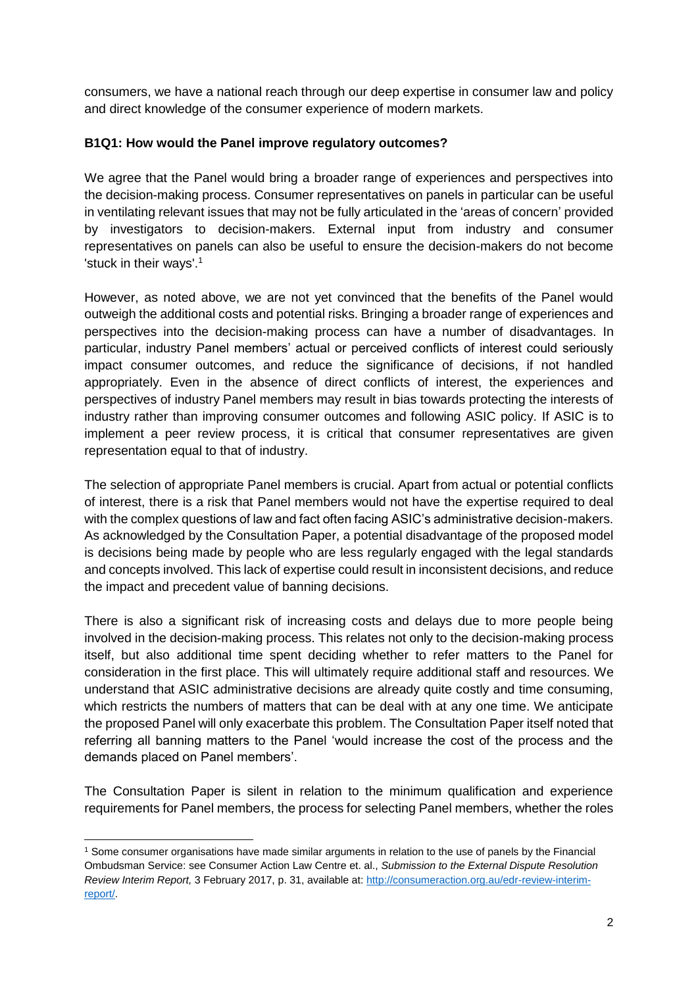consumers, we have a national reach through our deep expertise in consumer law and policy and direct knowledge of the consumer experience of modern markets.

### **B1Q1: How would the Panel improve regulatory outcomes?**

We agree that the Panel would bring a broader range of experiences and perspectives into the decision-making process. Consumer representatives on panels in particular can be useful in ventilating relevant issues that may not be fully articulated in the 'areas of concern' provided by investigators to decision-makers. External input from industry and consumer representatives on panels can also be useful to ensure the decision-makers do not become 'stuck in their ways'.<sup>1</sup>

However, as noted above, we are not yet convinced that the benefits of the Panel would outweigh the additional costs and potential risks. Bringing a broader range of experiences and perspectives into the decision-making process can have a number of disadvantages. In particular, industry Panel members' actual or perceived conflicts of interest could seriously impact consumer outcomes, and reduce the significance of decisions, if not handled appropriately. Even in the absence of direct conflicts of interest, the experiences and perspectives of industry Panel members may result in bias towards protecting the interests of industry rather than improving consumer outcomes and following ASIC policy. If ASIC is to implement a peer review process, it is critical that consumer representatives are given representation equal to that of industry.

The selection of appropriate Panel members is crucial. Apart from actual or potential conflicts of interest, there is a risk that Panel members would not have the expertise required to deal with the complex questions of law and fact often facing ASIC's administrative decision-makers. As acknowledged by the Consultation Paper, a potential disadvantage of the proposed model is decisions being made by people who are less regularly engaged with the legal standards and concepts involved. This lack of expertise could result in inconsistent decisions, and reduce the impact and precedent value of banning decisions.

There is also a significant risk of increasing costs and delays due to more people being involved in the decision-making process. This relates not only to the decision-making process itself, but also additional time spent deciding whether to refer matters to the Panel for consideration in the first place. This will ultimately require additional staff and resources. We understand that ASIC administrative decisions are already quite costly and time consuming, which restricts the numbers of matters that can be deal with at any one time. We anticipate the proposed Panel will only exacerbate this problem. The Consultation Paper itself noted that referring all banning matters to the Panel 'would increase the cost of the process and the demands placed on Panel members'.

The Consultation Paper is silent in relation to the minimum qualification and experience requirements for Panel members, the process for selecting Panel members, whether the roles

1

<sup>1</sup> Some consumer organisations have made similar arguments in relation to the use of panels by the Financial Ombudsman Service: see Consumer Action Law Centre et. al., *Submission to the External Dispute Resolution Review Interim Report,* 3 February 2017, p. 31, available at[: http://consumeraction.org.au/edr-review-interim](http://consumeraction.org.au/edr-review-interim-report/)[report/.](http://consumeraction.org.au/edr-review-interim-report/)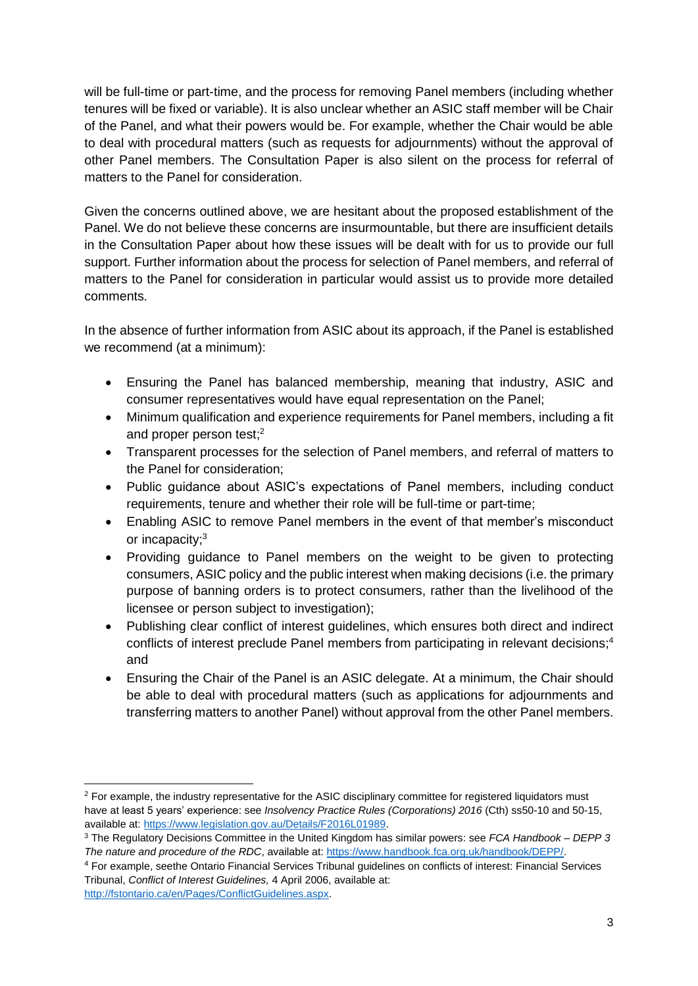will be full-time or part-time, and the process for removing Panel members (including whether tenures will be fixed or variable). It is also unclear whether an ASIC staff member will be Chair of the Panel, and what their powers would be. For example, whether the Chair would be able to deal with procedural matters (such as requests for adjournments) without the approval of other Panel members. The Consultation Paper is also silent on the process for referral of matters to the Panel for consideration.

Given the concerns outlined above, we are hesitant about the proposed establishment of the Panel. We do not believe these concerns are insurmountable, but there are insufficient details in the Consultation Paper about how these issues will be dealt with for us to provide our full support. Further information about the process for selection of Panel members, and referral of matters to the Panel for consideration in particular would assist us to provide more detailed comments.

In the absence of further information from ASIC about its approach, if the Panel is established we recommend (at a minimum):

- Ensuring the Panel has balanced membership, meaning that industry, ASIC and consumer representatives would have equal representation on the Panel;
- Minimum qualification and experience requirements for Panel members, including a fit and proper person test;<sup>2</sup>
- Transparent processes for the selection of Panel members, and referral of matters to the Panel for consideration;
- Public guidance about ASIC's expectations of Panel members, including conduct requirements, tenure and whether their role will be full-time or part-time;
- Enabling ASIC to remove Panel members in the event of that member's misconduct or incapacity;<sup>3</sup>
- Providing guidance to Panel members on the weight to be given to protecting consumers, ASIC policy and the public interest when making decisions (i.e. the primary purpose of banning orders is to protect consumers, rather than the livelihood of the licensee or person subject to investigation);
- Publishing clear conflict of interest guidelines, which ensures both direct and indirect conflicts of interest preclude Panel members from participating in relevant decisions; 4 and
- Ensuring the Chair of the Panel is an ASIC delegate. At a minimum, the Chair should be able to deal with procedural matters (such as applications for adjournments and transferring matters to another Panel) without approval from the other Panel members.

<sup>1</sup> <sup>2</sup> For example, the industry representative for the ASIC disciplinary committee for registered liquidators must have at least 5 years' experience: see *Insolvency Practice Rules (Corporations) 2016* (Cth) ss50-10 and 50-15, available at[: https://www.legislation.gov.au/Details/F2016L01989.](https://www.legislation.gov.au/Details/F2016L01989)

<sup>3</sup> The Regulatory Decisions Committee in the United Kingdom has similar powers: see *FCA Handbook – DEPP 3 The nature and procedure of the RDC*, available at[: https://www.handbook.fca.org.uk/handbook/DEPP/.](https://www.handbook.fca.org.uk/handbook/DEPP/)

<sup>4</sup> For example, seethe Ontario Financial Services Tribunal guidelines on conflicts of interest: Financial Services Tribunal, *Conflict of Interest Guidelines,* 4 April 2006, available at: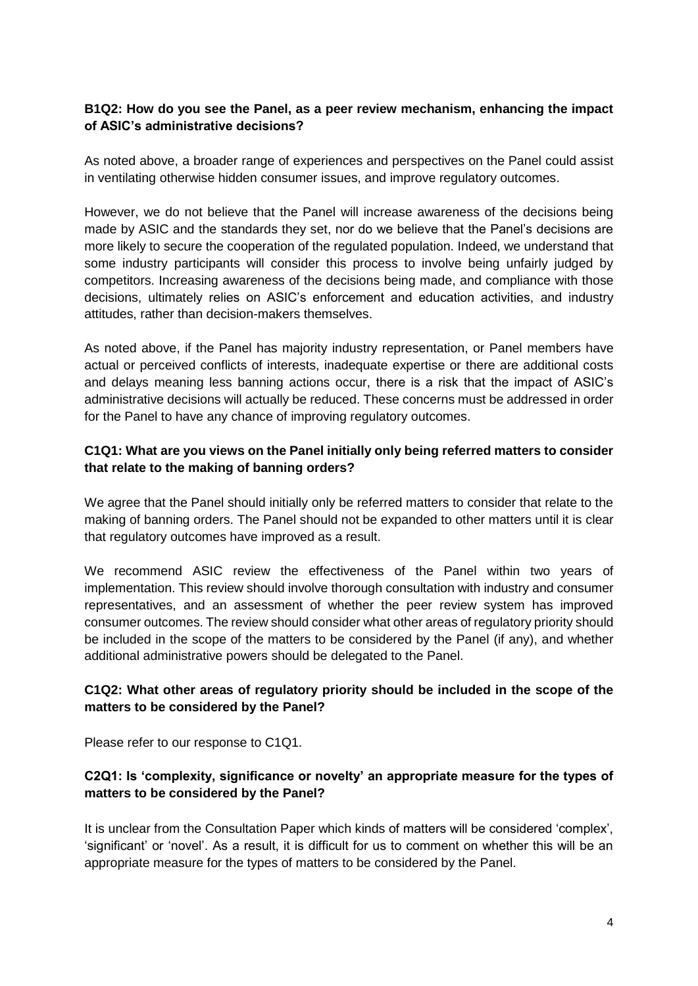#### **B1Q2: How do you see the Panel, as a peer review mechanism, enhancing the impact of ASIC's administrative decisions?**

As noted above, a broader range of experiences and perspectives on the Panel could assist in ventilating otherwise hidden consumer issues, and improve regulatory outcomes.

However, we do not believe that the Panel will increase awareness of the decisions being made by ASIC and the standards they set, nor do we believe that the Panel's decisions are more likely to secure the cooperation of the regulated population. Indeed, we understand that some industry participants will consider this process to involve being unfairly judged by competitors. Increasing awareness of the decisions being made, and compliance with those decisions, ultimately relies on ASIC's enforcement and education activities, and industry attitudes, rather than decision-makers themselves.

As noted above, if the Panel has majority industry representation, or Panel members have actual or perceived conflicts of interests, inadequate expertise or there are additional costs and delays meaning less banning actions occur, there is a risk that the impact of ASIC's administrative decisions will actually be reduced. These concerns must be addressed in order for the Panel to have any chance of improving regulatory outcomes.

## **C1Q1: What are you views on the Panel initially only being referred matters to consider that relate to the making of banning orders?**

We agree that the Panel should initially only be referred matters to consider that relate to the making of banning orders. The Panel should not be expanded to other matters until it is clear that regulatory outcomes have improved as a result.

We recommend ASIC review the effectiveness of the Panel within two years of implementation. This review should involve thorough consultation with industry and consumer representatives, and an assessment of whether the peer review system has improved consumer outcomes. The review should consider what other areas of regulatory priority should be included in the scope of the matters to be considered by the Panel (if any), and whether additional administrative powers should be delegated to the Panel.

## **C1Q2: What other areas of regulatory priority should be included in the scope of the matters to be considered by the Panel?**

Please refer to our response to C1Q1.

# **C2Q1: Is 'complexity, significance or novelty' an appropriate measure for the types of matters to be considered by the Panel?**

It is unclear from the Consultation Paper which kinds of matters will be considered 'complex', 'significant' or 'novel'. As a result, it is difficult for us to comment on whether this will be an appropriate measure for the types of matters to be considered by the Panel.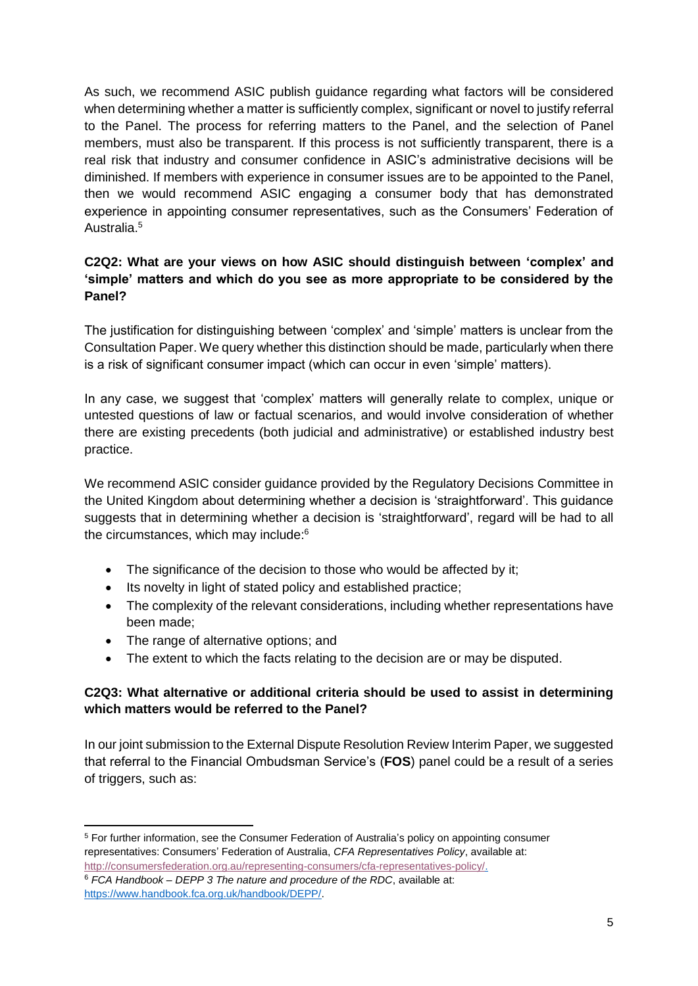As such, we recommend ASIC publish guidance regarding what factors will be considered when determining whether a matter is sufficiently complex, significant or novel to justify referral to the Panel. The process for referring matters to the Panel, and the selection of Panel members, must also be transparent. If this process is not sufficiently transparent, there is a real risk that industry and consumer confidence in ASIC's administrative decisions will be diminished. If members with experience in consumer issues are to be appointed to the Panel, then we would recommend ASIC engaging a consumer body that has demonstrated experience in appointing consumer representatives, such as the Consumers' Federation of Australia. 5

## **C2Q2: What are your views on how ASIC should distinguish between 'complex' and 'simple' matters and which do you see as more appropriate to be considered by the Panel?**

The justification for distinguishing between 'complex' and 'simple' matters is unclear from the Consultation Paper. We query whether this distinction should be made, particularly when there is a risk of significant consumer impact (which can occur in even 'simple' matters).

In any case, we suggest that 'complex' matters will generally relate to complex, unique or untested questions of law or factual scenarios, and would involve consideration of whether there are existing precedents (both judicial and administrative) or established industry best practice.

We recommend ASIC consider guidance provided by the Regulatory Decisions Committee in the United Kingdom about determining whether a decision is 'straightforward'. This guidance suggests that in determining whether a decision is 'straightforward', regard will be had to all the circumstances, which may include: 6

- The significance of the decision to those who would be affected by it;
- Its novelty in light of stated policy and established practice:
- The complexity of the relevant considerations, including whether representations have been made;
- The range of alternative options; and
- The extent to which the facts relating to the decision are or may be disputed.

#### **C2Q3: What alternative or additional criteria should be used to assist in determining which matters would be referred to the Panel?**

In our joint submission to the External Dispute Resolution Review Interim Paper, we suggested that referral to the Financial Ombudsman Service's (**FOS**) panel could be a result of a series of triggers, such as:

**<sup>.</sup>** <sup>5</sup> For further information, see the Consumer Federation of Australia's policy on appointing consumer representatives: Consumers' Federation of Australia, *CFA Representatives Policy*, available at: [http://consumersfederation.org.au/representing-consumers/cfa-representatives-policy/.](http://consumersfederation.org.au/representing-consumers/cfa-representatives-policy/)

<sup>6</sup> *FCA Handbook – DEPP 3 The nature and procedure of the RDC*, available at: [https://www.handbook.fca.org.uk/handbook/DEPP/.](https://www.handbook.fca.org.uk/handbook/DEPP/)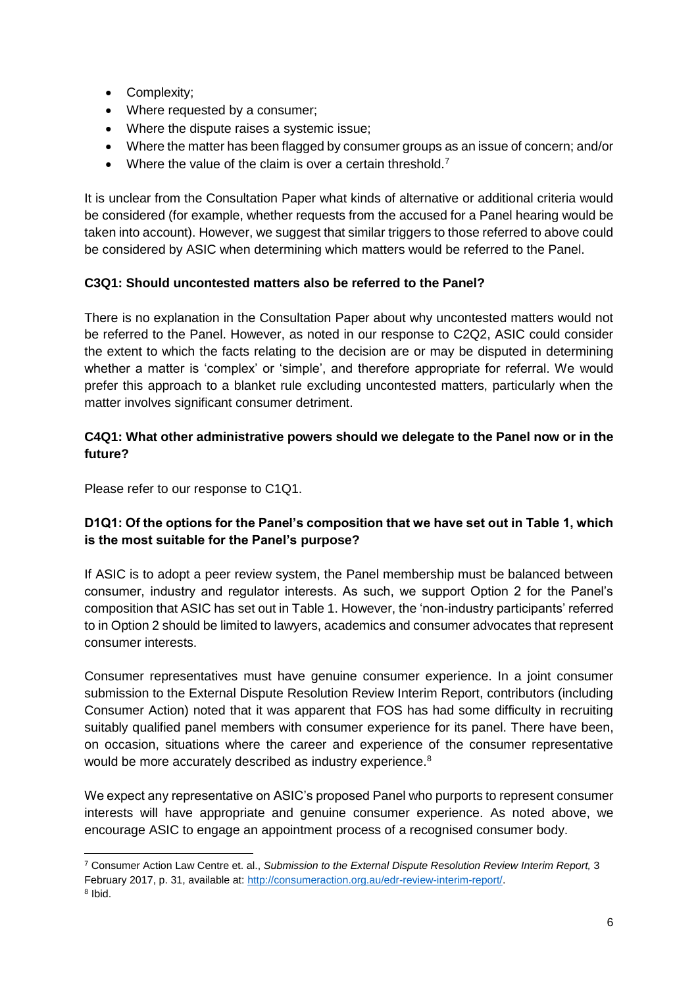- Complexity;
- Where requested by a consumer;
- Where the dispute raises a systemic issue:
- Where the matter has been flagged by consumer groups as an issue of concern; and/or
- Where the value of the claim is over a certain threshold.<sup>7</sup>

It is unclear from the Consultation Paper what kinds of alternative or additional criteria would be considered (for example, whether requests from the accused for a Panel hearing would be taken into account). However, we suggest that similar triggers to those referred to above could be considered by ASIC when determining which matters would be referred to the Panel.

## **C3Q1: Should uncontested matters also be referred to the Panel?**

There is no explanation in the Consultation Paper about why uncontested matters would not be referred to the Panel. However, as noted in our response to C2Q2, ASIC could consider the extent to which the facts relating to the decision are or may be disputed in determining whether a matter is 'complex' or 'simple', and therefore appropriate for referral. We would prefer this approach to a blanket rule excluding uncontested matters, particularly when the matter involves significant consumer detriment.

### **C4Q1: What other administrative powers should we delegate to the Panel now or in the future?**

Please refer to our response to C1Q1.

# **D1Q1: Of the options for the Panel's composition that we have set out in Table 1, which is the most suitable for the Panel's purpose?**

If ASIC is to adopt a peer review system, the Panel membership must be balanced between consumer, industry and regulator interests. As such, we support Option 2 for the Panel's composition that ASIC has set out in Table 1. However, the 'non-industry participants' referred to in Option 2 should be limited to lawyers, academics and consumer advocates that represent consumer interests.

Consumer representatives must have genuine consumer experience. In a joint consumer submission to the External Dispute Resolution Review Interim Report, contributors (including Consumer Action) noted that it was apparent that FOS has had some difficulty in recruiting suitably qualified panel members with consumer experience for its panel. There have been, on occasion, situations where the career and experience of the consumer representative would be more accurately described as industry experience.<sup>8</sup>

We expect any representative on ASIC's proposed Panel who purports to represent consumer interests will have appropriate and genuine consumer experience. As noted above, we encourage ASIC to engage an appointment process of a recognised consumer body.

**<sup>.</sup>** <sup>7</sup> Consumer Action Law Centre et. al., *Submission to the External Dispute Resolution Review Interim Report,* 3 February 2017, p. 31, available at: [http://consumeraction.org.au/edr-review-interim-report/.](http://consumeraction.org.au/edr-review-interim-report/) 8 Ibid.